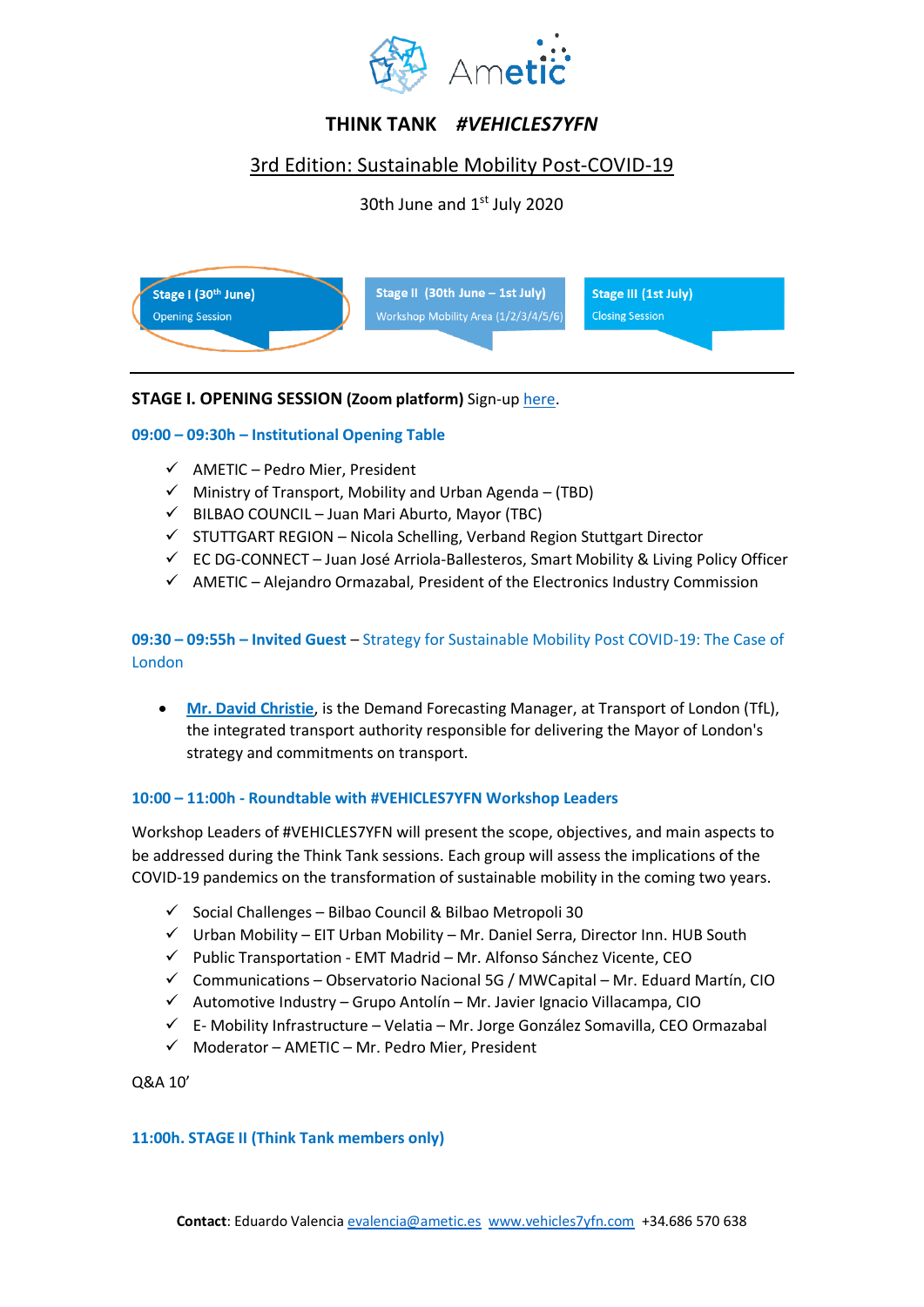

# **THINK TANK** *#VEHICLES7YFN*

## 3rd Edition: Sustainable Mobility Post-COVID-19

30th June and 1<sup>st</sup> July 2020



## **STAGE I. OPENING SESSION (Zoom platform)** Sign-up [here.](https://us02web.zoom.us/webinar/register/WN_JtUz3YObR7qsp86ywpAWDA)

## **09:00 – 09:30h – Institutional Opening Table**

- $\checkmark$  AMETIC Pedro Mier, President
- $\checkmark$  Ministry of Transport, Mobility and Urban Agenda (TBD)
- $\checkmark$  BILBAO COUNCIL Juan Mari Aburto, Mayor (TBC)
- ✓ STUTTGART REGION Nicola Schelling, Verband Region Stuttgart Director
- $\checkmark$  EC DG-CONNECT Juan José Arriola-Ballesteros, Smart Mobility & Living Policy Officer
- $\checkmark$  AMETIC Alejandro Ormazabal, President of the Electronics Industry Commission

## **09:30 – 09:55h – Invited Guest** – Strategy for Sustainable Mobility Post COVID-19: The Case of London

• **Mr. David Christie**, is the Demand Forecasting Manager, at Transport of London (TfL), the integrated transport authority responsible for delivering the Mayor of London's strategy and commitments on transport.

#### **10:00 – 11:00h - Roundtable with #VEHICLES7YFN Workshop Leaders**

Workshop Leaders of #VEHICLES7YFN will present the scope, objectives, and main aspects to be addressed during the Think Tank sessions. Each group will assess the implications of the COVID-19 pandemics on the transformation of sustainable mobility in the coming two years.

- $\checkmark$  Social Challenges Bilbao Council & Bilbao Metropoli 30
- $\checkmark$  Urban Mobility EIT Urban Mobility Mr. Daniel Serra, Director Inn. HUB South
- ✓ Public Transportation EMT Madrid Mr. Alfonso Sánchez Vicente, CEO
- $\checkmark$  Communications Observatorio Nacional 5G / MWCapital Mr. Eduard Martín, CIO
- $\checkmark$  Automotive Industry Grupo Antolín Mr. Javier Ignacio Villacampa, CIO
- $\checkmark$  E- Mobility Infrastructure Velatia Mr. Jorge González Somavilla, CEO Ormazabal
- $\checkmark$  Moderator AMETIC Mr. Pedro Mier, President

Q&A 10'

#### **11:00h. STAGE II (Think Tank members only)**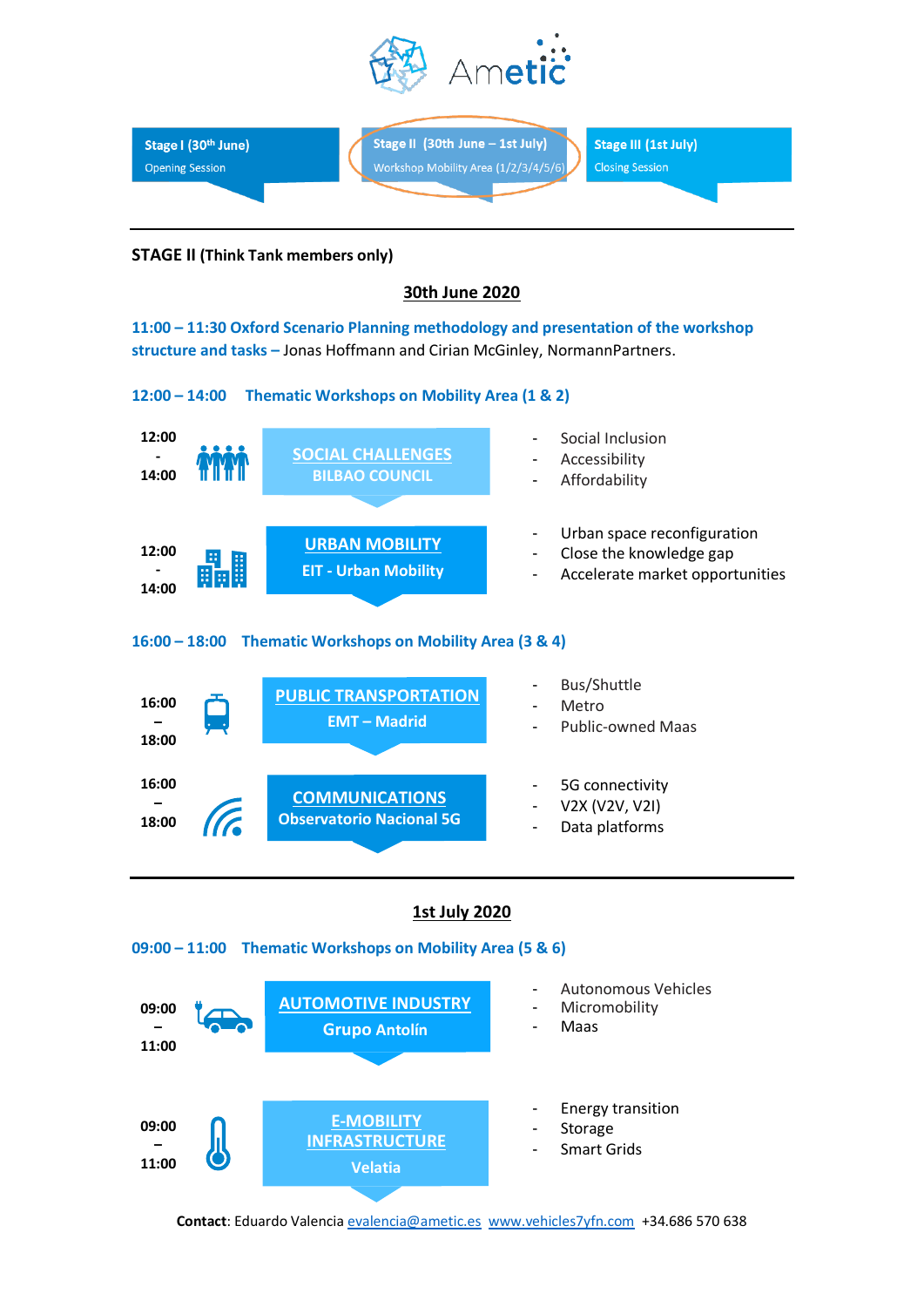



#### **STAGE II (Think Tank members only)**

## **30th June 2020**

**11:00 – 11:30 Oxford Scenario Planning methodology and presentation of the workshop structure and tasks –** Jonas Hoffmann and Cirian McGinley, NormannPartners.





#### **1st July 2020**

#### **09:00 – 11:00 Thematic Workshops on Mobility Area (5 & 6)**